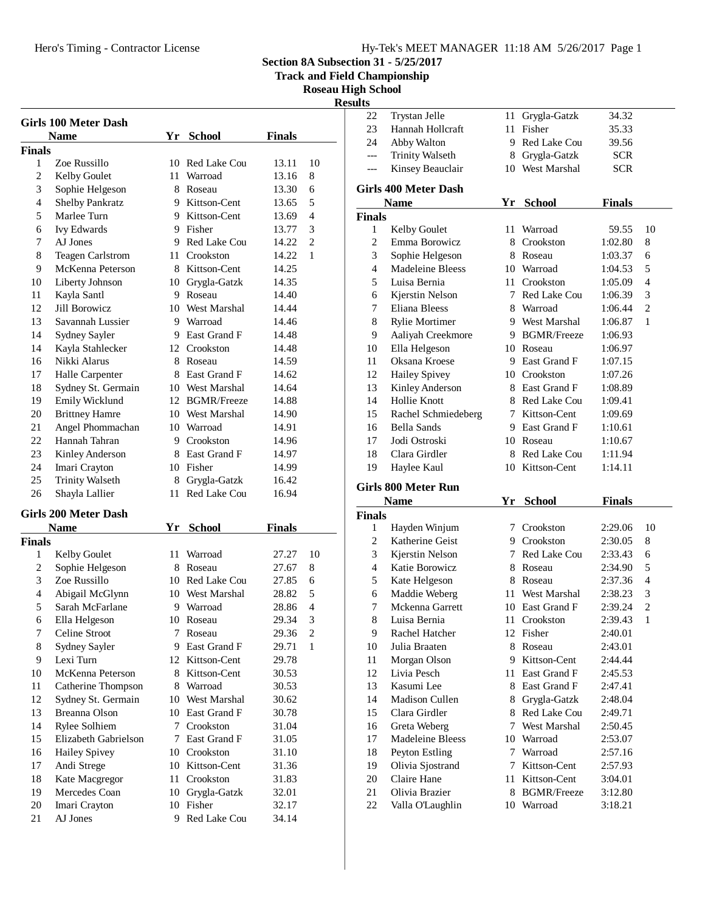## Hero's Timing - Contractor License Hy-Tek's MEET MANAGER 11:18 AM 5/26/2017 Page 1

**Section 8A Subsection 31 - 5/25/2017**

**Track and Field Championship**

**Roseau High School Results**

| <b>Girls 100 Meter Dash</b><br>Yr School<br><b>Finals</b><br><b>Name</b> |                                     |    |                              |                |                |  |
|--------------------------------------------------------------------------|-------------------------------------|----|------------------------------|----------------|----------------|--|
| <b>Finals</b>                                                            |                                     |    |                              |                |                |  |
| 1                                                                        | Zoe Russillo                        |    | 10 Red Lake Cou              | 13.11          | 10             |  |
| 2                                                                        | Kelby Goulet                        |    | 11 Warroad                   | 13.16          | 8              |  |
| 3                                                                        | Sophie Helgeson                     |    | 8 Roseau                     | 13.30          | 6              |  |
| 4                                                                        | <b>Shelby Pankratz</b>              |    | 9 Kittson-Cent               | 13.65          | 5              |  |
| 5                                                                        | Marlee Turn                         |    | 9 Kittson-Cent               | 13.69          | 4              |  |
| 6                                                                        | <b>Ivy Edwards</b>                  |    | 9 Fisher                     | 13.77          | 3              |  |
| 7                                                                        | AJ Jones                            |    | 9 Red Lake Cou               | 14.22          | $\mathfrak{2}$ |  |
| 8                                                                        | Teagen Carlstrom                    |    | 11 Crookston                 | 14.22          | 1              |  |
| 9                                                                        | McKenna Peterson                    |    | 8 Kittson-Cent               | 14.25          |                |  |
| 10                                                                       | Liberty Johnson                     |    | 10 Grygla-Gatzk              | 14.35          |                |  |
| 11                                                                       | Kayla Santl                         |    | 9 Roseau                     | 14.40          |                |  |
| 12                                                                       | Jill Borowicz                       |    | 10 West Marshal              | 14.44          |                |  |
| 13                                                                       | Savannah Lussier                    |    | 9 Warroad                    | 14.46          |                |  |
| 14                                                                       | Sydney Sayler                       |    | 9 East Grand F               | 14.48          |                |  |
| 14                                                                       | Kayla Stahlecker                    |    | 12 Crookston                 | 14.48          |                |  |
| 16                                                                       | Nikki Alarus                        |    | 8 Roseau                     | 14.59          |                |  |
| 17                                                                       | Halle Carpenter                     |    | 8 East Grand F               | 14.62          |                |  |
| 18                                                                       | Sydney St. Germain                  |    | 10 West Marshal              | 14.64          |                |  |
| 19                                                                       | Emily Wicklund                      |    | 12 BGMR/Freeze               | 14.88          |                |  |
| 20                                                                       |                                     |    | 10 West Marshal              | 14.90          |                |  |
| 21                                                                       | <b>Brittney Hamre</b>               |    | 10 Warroad                   | 14.91          |                |  |
| 22                                                                       | Angel Phommachan<br>Hannah Tahran   |    | 9 Crookston                  |                |                |  |
| 23                                                                       |                                     |    | 8 East Grand F               | 14.96          |                |  |
| 24                                                                       | Kinley Anderson                     |    |                              | 14.97          |                |  |
|                                                                          | Imari Crayton                       |    | 10 Fisher                    | 14.99          |                |  |
| 25                                                                       | <b>Trinity Walseth</b>              |    | 8 Grygla-Gatzk               | 16.42          |                |  |
| 26                                                                       | Shayla Lallier                      | 11 | Red Lake Cou                 | 16.94          |                |  |
|                                                                          | <b>Girls 200 Meter Dash</b><br>Name |    | Yr School                    | <b>Finals</b>  |                |  |
| <b>Finals</b>                                                            |                                     |    |                              |                |                |  |
| 1                                                                        | Kelby Goulet                        | 11 | Warroad                      | 27.27          | 10             |  |
| 2                                                                        | Sophie Helgeson                     |    | 8 Roseau                     | 27.67          | 8              |  |
| 3                                                                        | Zoe Russillo                        |    | 10 Red Lake Cou              | 27.85          | 6              |  |
| 4                                                                        | Abigail McGlynn                     |    | 10 West Marshal              | 28.82          | 5              |  |
| 5                                                                        | Sarah McFarlane                     | 9. | Warroad                      | 28.86          | 4              |  |
| 6                                                                        | Ella Helgeson                       |    | 10 Roseau                    | 29.34          | 3              |  |
| 7                                                                        | Celine Stroot                       |    | 7 Roseau                     | 29.36          | 2              |  |
| 8                                                                        | Sydney Sayler                       |    | 9 East Grand F               | 29.71          | 1              |  |
| 9                                                                        | Lexi Turn                           |    | 12 Kittson-Cent              | 29.78          |                |  |
| 10                                                                       | McKenna Peterson                    | 8. | Kittson-Cent                 | 30.53          |                |  |
| 11                                                                       | Catherine Thompson                  |    | 8 Warroad                    | 30.53          |                |  |
| 12                                                                       | Sydney St. Germain                  |    | 10 West Marshal              | 30.62          |                |  |
| 13                                                                       | Breanna Olson                       |    | 10 East Grand F              | 30.78          |                |  |
| 14                                                                       | Rylee Solhiem                       | 7  | Crookston                    | 31.04          |                |  |
| 15                                                                       | Elizabeth Gabrielson                | 7  | East Grand F                 | 31.05          |                |  |
| 16                                                                       | Hailey Spivey                       |    | 10 Crookston                 |                |                |  |
|                                                                          |                                     | 10 | Kittson-Cent                 | 31.10          |                |  |
| 17                                                                       | Andi Strege                         | 11 | Crookston                    | 31.36          |                |  |
| 18                                                                       | Kate Macgregor                      |    |                              | 31.83          |                |  |
| 19<br>20                                                                 | Mercedes Coan<br>Imari Crayton      |    | 10 Grygla-Gatzk<br>10 Fisher | 32.01<br>32.17 |                |  |
|                                                                          |                                     |    |                              |                |                |  |

| 22                          | Trystan Jelle                      | 11       | Grygla-Gatzk                  | 34.32              |                                |
|-----------------------------|------------------------------------|----------|-------------------------------|--------------------|--------------------------------|
| 23                          | Hannah Hollcraft                   | 11-      | Fisher                        | 35.33              |                                |
| 24                          | Abby Walton                        |          | 9 Red Lake Cou                | 39.56              |                                |
| $\overline{a}$              | <b>Trinity Walseth</b>             |          | 8 Grygla-Gatzk                | <b>SCR</b>         |                                |
| $---$                       | Kinsey Beauclair                   |          | 10 West Marshal               | <b>SCR</b>         |                                |
|                             |                                    |          |                               |                    |                                |
| <b>Girls 400 Meter Dash</b> |                                    |          |                               |                    |                                |
|                             | Name                               |          | Yr School                     | <b>Finals</b>      |                                |
| <b>Finals</b>               |                                    |          |                               |                    |                                |
| $\mathbf{1}$                | Kelby Goulet                       | 11 -     | Warroad                       | 59.55              | 10                             |
| $\overline{c}$              | Emma Borowicz                      |          | 8 Crookston                   | 1:02.80            | 8                              |
| 3                           | Sophie Helgeson                    |          | 8 Roseau                      | 1:03.37            | 6                              |
| $\overline{4}$              | Madeleine Bleess                   |          | 10 Warroad                    | 1:04.53            | 5                              |
| 5                           | Luisa Bernia                       | 11 -     | Crookston                     | 1:05.09            | 4                              |
| 6                           | Kjerstin Nelson                    |          | 7 Red Lake Cou                | 1:06.39            | 3                              |
| 7                           | Eliana Bleess                      |          | 8 Warroad                     | 1:06.44            | $\mathbf{2}$                   |
| 8                           | <b>Rylie Mortimer</b>              |          | 9 West Marshal                | 1:06.87            | 1                              |
| 9                           | Aaliyah Creekmore                  |          | 9 BGMR/Freeze                 | 1:06.93            |                                |
| 10                          | Ella Helgeson                      |          | 10 Roseau                     | 1:06.97            |                                |
| 11                          | Oksana Kroese                      |          | 9 East Grand F                | 1:07.15            |                                |
| 12                          | <b>Hailey Spivey</b>               |          | 10 Crookston                  | 1:07.26            |                                |
| 13                          | Kinley Anderson                    |          | 8 East Grand F                | 1:08.89            |                                |
| 14                          | Hollie Knott                       |          | 8 Red Lake Cou                | 1:09.41            |                                |
| 15                          | Rachel Schmiedeberg                |          | 7 Kittson-Cent                | 1:09.69            |                                |
| 16                          | <b>Bella Sands</b>                 |          | 9 East Grand F                | 1:10.61            |                                |
| 17                          | Jodi Ostroski                      |          | 10 Roseau                     | 1:10.67            |                                |
| 18                          | Clara Girdler                      |          | 8 Red Lake Cou                | 1:11.94            |                                |
|                             |                                    |          |                               |                    |                                |
| 19                          | Haylee Kaul                        |          | 10 Kittson-Cent               | 1:14.11            |                                |
|                             |                                    |          |                               |                    |                                |
|                             | <b>Girls 800 Meter Run</b>         |          |                               |                    |                                |
|                             | <b>Name</b>                        | Yr       | <b>School</b>                 | <b>Finals</b>      |                                |
| <b>Finals</b><br>1          |                                    |          | 7 Crookston                   | 2:29.06            | 10                             |
| $\mathbf{2}$                | Hayden Winjum                      |          | 9 Crookston                   |                    |                                |
| 3                           | Katherine Geist                    |          | 7 Red Lake Cou                | 2:30.05            | 8<br>6                         |
|                             | Kjerstin Nelson                    |          |                               | 2:33.43            |                                |
| $\overline{\mathcal{L}}$    | Katie Borowicz                     |          | 8 Roseau<br>8 Roseau          | 2:34.90<br>2:37.36 | 5                              |
| 5                           | Kate Helgeson                      |          | 11 West Marshal               | 2:38.23            | 4                              |
| 6                           | Maddie Weberg                      |          |                               |                    | 3                              |
| 7                           | Mckenna Garrett                    |          | 10 East Grand F               | 2:39.24            | $\overline{c}$<br>$\mathbf{1}$ |
| 8                           | Luisa Bernia                       | 11<br>12 | Crookston                     | 2:39.43            |                                |
| 9                           | Rachel Hatcher                     | 8        | Fisher                        | 2:40.01            |                                |
| 10                          | Julia Braaten                      |          | Roseau                        | 2:43.01            |                                |
| 11                          | Morgan Olson                       |          | 9 Kittson-Cent                | 2:44.44            |                                |
| 12                          | Livia Pesch                        |          | 11 East Grand F               | 2:45.53            |                                |
| 13                          | Kasumi Lee                         |          | 8 East Grand F                | 2:47.41            |                                |
| 14                          | Madison Cullen                     |          | 8 Grygla-Gatzk                | 2:48.04            |                                |
| 15                          | Clara Girdler                      | 8        | Red Lake Cou                  | 2:49.71            |                                |
| 16                          | Greta Weberg                       | 7        | West Marshal                  | 2:50.45            |                                |
| 17                          | Madeleine Bleess                   |          | 10 Warroad                    | 2:53.07            |                                |
| 18                          | Peyton Estling                     |          | 7 Warroad                     | 2:57.16            |                                |
| 19                          | Olivia Sjostrand                   |          | 7 Kittson-Cent                | 2:57.93            |                                |
| 20                          | Claire Hane                        | 11 -     | Kittson-Cent                  | 3:04.01            |                                |
| 21<br>22                    | Olivia Brazier<br>Valla O'Laughlin | 8<br>10  | <b>BGMR/Freeze</b><br>Warroad | 3:12.80<br>3:18.21 |                                |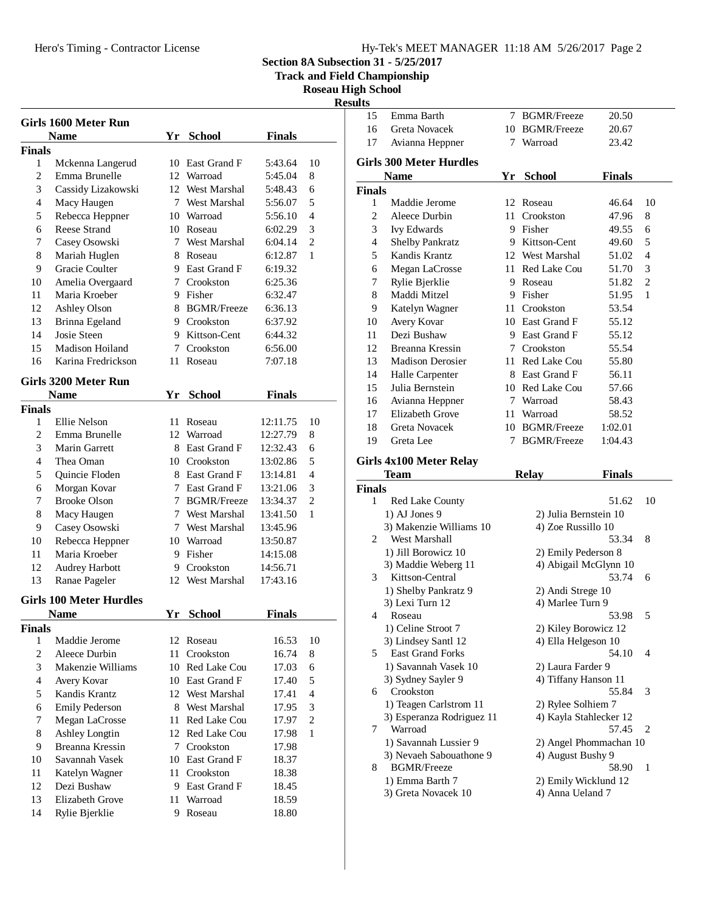Hero's Timing - Contractor License

j.

|  |  |  | Hy-Tek's MEET MANAGER 11:18 AM 5/26/2017 Page 2 |  |  |  |
|--|--|--|-------------------------------------------------|--|--|--|
|--|--|--|-------------------------------------------------|--|--|--|

**Section 8A Subsection 31 - 5/25/2017**

**Track and Field Championship**

**Roseau High School**

**Results**

|                          | Girls 1600 Meter Run<br><b>Name</b> |    | Yr School       | <b>Finals</b> |                |
|--------------------------|-------------------------------------|----|-----------------|---------------|----------------|
|                          |                                     |    |                 |               |                |
| <b>Finals</b>            |                                     |    |                 |               |                |
| 1                        | Mckenna Langerud                    | 10 | East Grand F    | 5:43.64       | 10             |
| 2                        | Emma Brunelle                       | 12 | Warroad         | 5:45.04       | 8              |
| 3                        | Cassidy Lizakowski                  |    | 12 West Marshal | 5:48.43       | 6              |
| $\overline{\mathcal{L}}$ | Macy Haugen                         |    | 7 West Marshal  | 5:56.07       | 5              |
| 5                        | Rebecca Heppner                     |    | 10 Warroad      | 5:56.10       | $\overline{4}$ |
| 6                        | <b>Reese Strand</b>                 |    | 10 Roseau       | 6:02.29       | 3              |
| 7                        | Casey Osowski                       |    | 7 West Marshal  | 6:04.14       | $\overline{2}$ |
| 8                        | Mariah Huglen                       |    | 8 Roseau        | 6:12.87       | 1              |
| 9                        | Gracie Coulter                      |    | 9 East Grand F  | 6:19.32       |                |
| 10                       | Amelia Overgaard                    |    | 7 Crookston     | 6:25.36       |                |
| 11                       | Maria Kroeber                       |    | 9 Fisher        | 6:32.47       |                |
| 12                       | Ashley Olson                        |    | 8 BGMR/Freeze   | 6:36.13       |                |
| 13                       | Brinna Egeland                      |    | 9 Crookston     | 6:37.92       |                |
| 14                       | Josie Steen                         |    | 9 Kittson-Cent  | 6:44.32       |                |
| 15                       | Madison Hoiland                     | 7  | Crookston       | 6:56.00       |                |
| 16                       | Karina Fredrickson                  | 11 | Roseau          | 7:07.18       |                |
|                          | Girls 3200 Meter Run                |    |                 |               |                |
|                          | <b>Name</b>                         |    | Yr School       | <b>Finals</b> |                |
| <b>Finals</b>            |                                     |    |                 |               |                |
| 1                        | Ellie Nelson                        | 11 | Roseau          | 12:11.75      | 10             |
| $\overline{c}$           | Emma Brunelle                       |    | 12 Warroad      | 12:27.79      | 8              |
| 3                        | Marin Garrett                       |    | 8 East Grand F  | 12:32.43      | 6              |
| 4                        | Thea Oman                           |    | 10 Crookston    | 13:02.86      | 5              |
| 5                        |                                     |    | 8 East Grand F  | 13:14.81      | 4              |
| 6                        | Quincie Floden                      |    | 7 East Grand F  | 13:21.06      | 3              |
| 7                        | Morgan Kovar<br><b>Brooke Olson</b> |    | 7 BGMR/Freeze   | 13:34.37      | $\overline{c}$ |
|                          |                                     |    |                 |               |                |
| 8                        | Macy Haugen                         |    | 7 West Marshal  | 13:41.50      | 1              |
| 9                        | Casey Osowski                       |    | 7 West Marshal  | 13:45.96      |                |
| 10                       | Rebecca Heppner                     |    | 10 Warroad      | 13:50.87      |                |
| 11                       | Maria Kroeber                       | 9  | Fisher          | 14:15.08      |                |
| 12                       | <b>Audrey Harbott</b>               |    | 9 Crookston     | 14:56.71      |                |
| 13                       | Ranae Pageler                       | 12 | West Marshal    | 17:43.16      |                |
|                          | <b>Girls 100 Meter Hurdles</b>      |    |                 |               |                |
|                          | Name                                | Yr | School          | <b>Finals</b> |                |
| <b>Finals</b>            |                                     |    |                 |               |                |
| 1                        | Maddie Jerome                       |    | 12 Roseau       | 16.53         | 10             |
| $\overline{c}$           | Aleece Durbin                       | 11 | Crookston       | 16.74         | 8              |
| 3                        | Makenzie Williams                   |    | 10 Red Lake Cou | 17.03         | 6              |
| $\overline{\mathcal{L}}$ | Avery Kovar                         |    | 10 East Grand F | 17.40         | 5              |
| 5                        | Kandis Krantz                       | 12 | West Marshal    | 17.41         | 4              |
| 6                        | <b>Emily Pederson</b>               |    | 8 West Marshal  | 17.95         | 3              |
| 7                        | Megan LaCrosse                      | 11 | Red Lake Cou    | 17.97         | $\overline{2}$ |
| 8                        | Ashley Longtin                      |    | 12 Red Lake Cou | 17.98         | 1              |
| 9                        | Breanna Kressin                     |    | 7 Crookston     | 17.98         |                |
| 10                       | Savannah Vasek                      |    | 10 East Grand F | 18.37         |                |
| 11                       | Katelyn Wagner                      |    | 11 Crookston    | 18.38         |                |
| 12                       | Dezi Bushaw                         |    | 9 East Grand F  | 18.45         |                |
| 13                       | <b>Elizabeth Grove</b>              | 11 | Warroad         | 18.59         |                |
|                          |                                     |    |                 |               |                |
| 14                       | Rylie Bjerklie                      | 9  | Roseau          | 18.80         |                |

| 15            | Emma Barth                            | 7 | <b>BGMR/Freeze</b>     | 20.50         |                |
|---------------|---------------------------------------|---|------------------------|---------------|----------------|
| 16            | <b>Greta Novacek</b>                  |   | 10 BGMR/Freeze         | 20.67         |                |
| 17            | Avianna Heppner                       | 7 | Warroad                | 23.42         |                |
|               |                                       |   |                        |               |                |
|               | <b>Girls 300 Meter Hurdles</b>        |   |                        |               |                |
|               | <b>Name</b>                           |   | Yr School              | <b>Finals</b> |                |
| <b>Finals</b> |                                       |   |                        |               |                |
| 1             | Maddie Jerome                         |   | 12 Roseau              | 46.64         | 10             |
| 2             | Aleece Durbin                         |   | 11 Crookston           | 47.96         | 8              |
| 3             | Ivy Edwards                           |   | 9 Fisher               | 49.55         | 6              |
| 4             | Shelby Pankratz                       |   | 9 Kittson-Cent         | 49.60         | 5              |
| 5             | Kandis Krantz                         |   | 12 West Marshal        | 51.02         | 4              |
| 6             | Megan LaCrosse                        |   | 11 Red Lake Cou        | 51.70         | 3              |
| 7             | Rylie Bjerklie                        |   | 9 Roseau               | 51.82         | $\overline{c}$ |
| 8             | Maddi Mitzel                          |   | 9 Fisher               | 51.95         | 1              |
| 9             | Katelyn Wagner                        |   | 11 Crookston           | 53.54         |                |
| 10            | Avery Kovar                           |   | 10 East Grand F        | 55.12         |                |
| 11            | Dezi Bushaw                           |   | 9 East Grand F         | 55.12         |                |
| 12            | Breanna Kressin                       |   | 7 Crookston            | 55.54         |                |
| 13            | <b>Madison Derosier</b>               |   | 11 Red Lake Cou        | 55.80         |                |
| 14            | Halle Carpenter                       |   | 8 East Grand F         | 56.11         |                |
| 15            | Julia Bernstein                       |   | 10 Red Lake Cou        | 57.66         |                |
| 16            | Avianna Heppner                       |   | 7 Warroad              | 58.43         |                |
| 17            | Elizabeth Grove                       |   | 11 Warroad             | 58.52         |                |
| 18            | <b>Greta Novacek</b>                  |   | 10 BGMR/Freeze         | 1:02.01       |                |
| 19            | Greta Lee                             | 7 | <b>BGMR/Freeze</b>     | 1:04.43       |                |
|               |                                       |   |                        |               |                |
|               |                                       |   |                        |               |                |
|               | Girls 4x100 Meter Relay               |   |                        |               |                |
|               | Team                                  |   | <b>Relay</b>           | <b>Finals</b> |                |
| <b>Finals</b> |                                       |   |                        |               |                |
| 1             | <b>Red Lake County</b>                |   |                        | 51.62         | 10             |
|               | 1) AJ Jones 9                         |   | 2) Julia Bernstein 10  |               |                |
|               | 3) Makenzie Williams 10               |   | 4) Zoe Russillo 10     |               |                |
| 2             | West Marshall                         |   |                        | 53.34         | 8              |
|               | 1) Jill Borowicz 10                   |   | 2) Emily Pederson 8    |               |                |
|               | 3) Maddie Weberg 11                   |   | 4) Abigail McGlynn 10  |               |                |
| 3             | Kittson-Central                       |   |                        | 53.74         | 6              |
|               | 1) Shelby Pankratz 9                  |   | 2) Andi Strege 10      |               |                |
|               | 3) Lexi Turn 12                       |   | 4) Marlee Turn 9       |               |                |
| 4             | Roseau                                |   |                        | 53.98         | 5              |
|               | 1) Celine Stroot 7                    |   | 2) Kiley Borowicz 12   |               |                |
|               | 3) Lindsey Santl 12                   |   | 4) Ella Helgeson 10    |               |                |
| 5             | <b>East Grand Forks</b>               |   |                        | 54.10         | 4              |
|               | 1) Savannah Vasek 10                  |   | 2) Laura Farder 9      |               |                |
|               | 3) Sydney Sayler 9                    |   | 4) Tiffany Hanson 11   |               |                |
| 6             | Crookston                             |   |                        | 55.84         | 3              |
|               | 1) Teagen Carlstrom 11                |   | 2) Rylee Solhiem 7     |               |                |
|               | 3) Esperanza Rodriguez 11             |   | 4) Kayla Stahlecker 12 |               |                |
| 7             | Warroad                               |   |                        | 57.45         | 2              |
|               | 1) Savannah Lussier 9                 |   | 2) Angel Phommachan 10 |               |                |
|               | 3) Nevaeh Sabouathone 9               |   | 4) August Bushy 9      |               |                |
| 8             | <b>BGMR/Freeze</b><br>1) Emma Barth 7 |   | 2) Emily Wicklund 12   | 58.90         | 1              |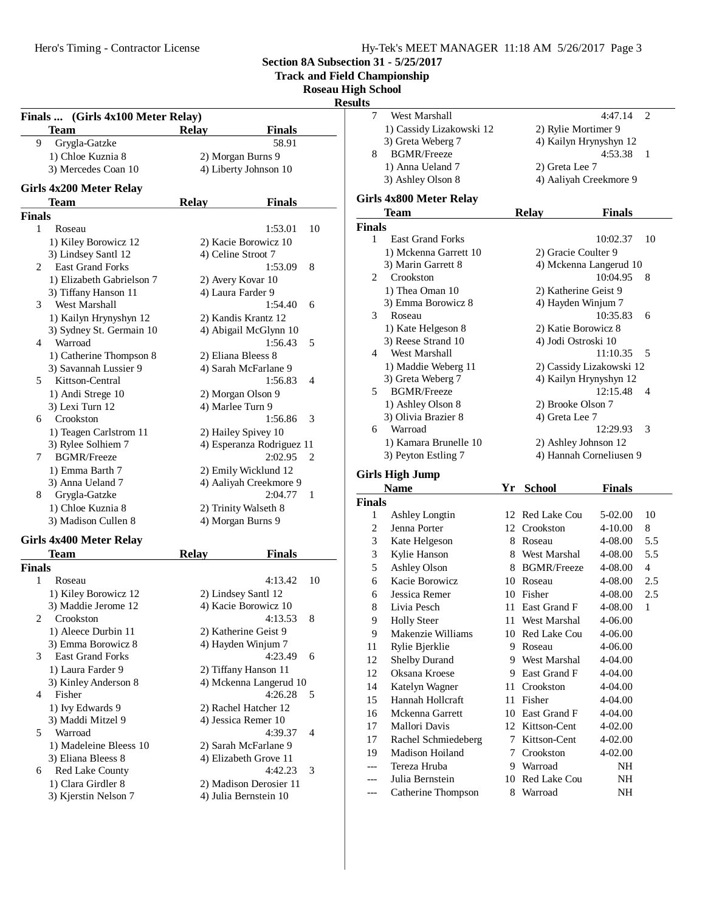Hero's Timing - Contractor License

1) Anna Ueland 7 2) Greta Lee 7

**Girls 4x800 Meter Relay**

**Girls High Jump**

**Finals**

3) Ashley Olson 8 4) Aaliyah Creekmore 9

**Team Relay Finals**

1 East Grand Forks 10:02.37 10 1) Mckenna Garrett 10 2) Gracie Coulter 9 3) Marin Garrett 8 4) Mckenna Langerud 10 Crookston2 10:04.95 8 1) Thea Oman 10 2) Katherine Geist 9 3) Emma Borowicz 8 4) Hayden Winjum 7 Roseau3 10:35.83 6 1) Kate Helgeson 8 2) Katie Borowicz 8 3) Reese Strand 10 4) Jodi Ostroski 10 4 West Marshall 11:10.35 5 1) Maddie Weberg 11 2) Cassidy Lizakowski 12 3) Greta Weberg 7 4) Kailyn Hrynyshyn 12 5 BGMR/Freeze 12:15.48 4 1) Ashley Olson 8 2) Brooke Olson 7 3) Olivia Brazier 8 4) Greta Lee 7

6 Warroad 12:29.93 3 1) Kamara Brunelle 10 2) Ashley Johnson 12 3) Peyton Estling 7 4) Hannah Corneliusen 9

**Name Yr School Finals**

1 Ashley Longtin 12 Red Lake Cou 5-02.00 10 2 Jenna Porter 12 Crookston 4-10.00 8 3 Kate Helgeson 8 Roseau 4-08.00 5.5 3 Kylie Hanson 8 West Marshal 4-08.00 5.5 5 Ashley Olson 8 BGMR/Freeze 4-08.00 4 6 Kacie Borowicz 10 Roseau 4-08.00 2.5 6 Jessica Remer 10 Fisher 4-08.00 2.5 8 Livia Pesch 11 East Grand F 4-08.00 1 9 Holly Steer 11 West Marshal 4-06.00 9 Makenzie Williams 10 Red Lake Cou 4-06.00 11 Rylie Bjerklie 9 Roseau 4-06.00 12 Shelby Durand 9 West Marshal 4-04.00 12 Oksana Kroese 9 East Grand F 4-04.00 14 Katelyn Wagner 11 Crookston 4-04.00 15 Hannah Hollcraft 11 Fisher 4-04.00 16 Mckenna Garrett 10 East Grand F 4-04.00 17 Mallori Davis 12 Kittson-Cent 4-02.00 17 Rachel Schmiedeberg 7 Kittson-Cent 4-02.00 19 Madison Hoiland 7 Crookston 4-02.00 --- Tereza Hruba 9 Warroad MH --- Julia Bernstein 10 Red Lake Cou NH --- Catherine Thompson 8 Warroad NH

West Marshall 4:47.14 2 1) Cassidy Lizakowski 12 2) Rylie Mortimer 9 3) Greta Weberg 7 4) Kailyn Hrynyshyn 12 8 BGMR/Freeze 4:53.38 1

**Section 8A Subsection 31 - 5/25/2017**

**Track and Field Championship**

**Roseau High School**

**Results**

**Finals**

## **Finals ... (Girls 4x100 Meter Relay) Team Relay Finals** 9 Grygla-Gatzke 58.91 1) Chloe Kuznia 8 2) Morgan Burns 9 3) Mercedes Coan 10 4) Liberty Johnson 10 **Girls 4x200 Meter Relay Team Relay Finals Finals** 1 Roseau 1:53.01 10 1) Kiley Borowicz 12 2) Kacie Borowicz 10 3) Lindsey Santl 12 4) Celine Stroot 7 2 East Grand Forks 1:53.09 8 1) Elizabeth Gabrielson 7 2) Avery Kovar 10 3) Tiffany Hanson 11 4) Laura Farder 9 3 West Marshall 1:54.40 6 1) Kailyn Hrynyshyn 12 2) Kandis Krantz 12 3) Sydney St. Germain 10 4) Abigail McGlynn 10 4 Warroad 1:56.43 5 1) Catherine Thompson 8 2) Eliana Bleess 8 3) Savannah Lussier 9 4) Sarah McFarlane 9 5 Kittson-Central 1:56.83 4 1) Andi Strege 10 2) Morgan Olson 9 3) Lexi Turn 12 4) Marlee Turn 9 6 Crookston 1:56.86 3 1) Teagen Carlstrom 11 2) Hailey Spivey 10 3) Rylee Solhiem 7 4) Esperanza Rodriguez 11 7 BGMR/Freeze 2:02.95 2 1) Emma Barth 7 2) Emily Wicklund 12 3) Anna Ueland 7 4) Aaliyah Creekmore 9 8 Grygla-Gatzke 2:04.77 1 1) Chloe Kuznia 8 2) Trinity Walseth 8 3) Madison Cullen 8 4) Morgan Burns 9 **Girls 4x400 Meter Relay Team Relay Finals Finals** 1 Roseau 4:13.42 10 1) Kiley Borowicz 12 2) Lindsey Santl 12 3) Maddie Jerome 12 4) Kacie Borowicz 10 Crookston2 4:13.53 8 1) Aleece Durbin 11 2) Katherine Geist 9<br>3) Emma Borowicz 8 4) Hayden Winjum 7 4) Hayden Winjum 7 3 East Grand Forks 4:23.49 6 1) Laura Farder 9 2) Tiffany Hanson 11 3) Kinley Anderson 8 4) Mckenna Langerud 10 4 Fisher 4:26.28 5 1) Ivy Edwards 9 2) Rachel Hatcher 12<br>
3) Maddi Mitzel 9 4) Jessica Remer 10 4) Jessica Remer 10 5 Warroad 4:39.37 4 1) Madeleine Bleess 10 2) Sarah McFarlane 9 3) Eliana Bleess 8 4) Elizabeth Grove 11 6 Red Lake County 4:42.23 3

1) Clara Girdler 8 2) Madison Derosier 11 3) Kjerstin Nelson 7 4) Julia Bernstein 10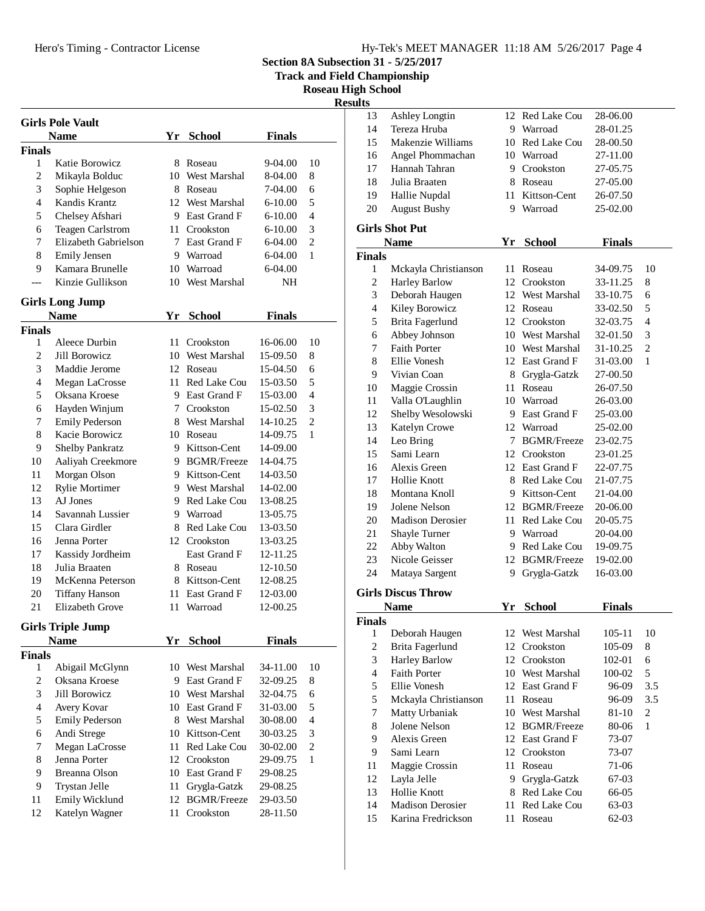Hero's Timing - Contractor License

**Section 8A Subsection 31 - 5/25/2017**

**Track and Field Championship**

**Roseau High School**

**Results**

| <b>Girls Pole Vault</b> |                          |     |                     |               |                |  |  |
|-------------------------|--------------------------|-----|---------------------|---------------|----------------|--|--|
|                         | <b>Name</b>              |     | Yr School           | <b>Finals</b> |                |  |  |
| Finals                  |                          |     |                     |               |                |  |  |
| 1                       | Katie Borowicz           | 8.  | Roseau              | 9-04.00       | 10             |  |  |
| $\overline{c}$          | Mikayla Bolduc           |     | 10 West Marshal     | 8-04.00       | 8              |  |  |
| 3                       | Sophie Helgeson          |     | 8 Roseau            | 7-04.00       | 6              |  |  |
| 4                       | Kandis Krantz            |     | 12 West Marshal     | 6-10.00       | 5              |  |  |
| 5                       | Chelsey Afshari          |     | 9 East Grand F      | 6-10.00       | 4              |  |  |
| 6                       | <b>Teagen Carlstrom</b>  |     | 11 Crookston        | 6-10.00       | 3              |  |  |
| 7                       | Elizabeth Gabrielson     |     | 7 East Grand F      | 6-04.00       | $\overline{c}$ |  |  |
| 8                       | <b>Emily Jensen</b>      |     | 9 Warroad           | 6-04.00       | 1              |  |  |
| 9                       | Kamara Brunelle          |     | 10 Warroad          | 6-04.00       |                |  |  |
|                         | Kinzie Gullikson         |     | 10 West Marshal     | NH            |                |  |  |
|                         |                          |     |                     |               |                |  |  |
|                         | Girls Long Jump          |     |                     |               |                |  |  |
|                         | <b>Name</b>              |     | Yr School           | <b>Finals</b> |                |  |  |
| Finals                  |                          |     |                     |               |                |  |  |
| 1                       | Aleece Durbin            | 11. | Crookston           | 16-06.00      | 10             |  |  |
| $\overline{c}$          | Jill Borowicz            |     | 10 West Marshal     | 15-09.50      | 8              |  |  |
| 3                       | Maddie Jerome            |     | 12 Roseau           | 15-04.50      | 6              |  |  |
| 4                       | Megan LaCrosse           |     | 11 Red Lake Cou     | 15-03.50      | 5              |  |  |
| 5                       | Oksana Kroese            |     | 9 East Grand F      | 15-03.00      | 4              |  |  |
| 6                       | Hayden Winjum            |     | 7 Crookston         | 15-02.50      | 3              |  |  |
| 7                       | <b>Emily Pederson</b>    |     | 8 West Marshal      | 14-10.25      | $\overline{c}$ |  |  |
| 8                       | Kacie Borowicz           |     | 10 Roseau           | 14-09.75      | 1              |  |  |
| 9                       | <b>Shelby Pankratz</b>   |     | 9 Kittson-Cent      | 14-09.00      |                |  |  |
| 10                      | Aaliyah Creekmore        |     | 9 BGMR/Freeze       | 14-04.75      |                |  |  |
| 11                      | Morgan Olson             |     | 9 Kittson-Cent      | 14-03.50      |                |  |  |
| 12                      | Rylie Mortimer           |     | 9 West Marshal      | 14-02.00      |                |  |  |
| 13                      | AJ Jones                 |     | 9 Red Lake Cou      | 13-08.25      |                |  |  |
| 14                      | Savannah Lussier         |     | 9 Warroad           | 13-05.75      |                |  |  |
| 15                      | Clara Girdler            |     | 8 Red Lake Cou      | 13-03.50      |                |  |  |
| 16                      | Jenna Porter             | 12  | Crookston           | 13-03.25      |                |  |  |
| 17                      | Kassidy Jordheim         |     | East Grand F        | 12-11.25      |                |  |  |
| 18                      | Julia Braaten            |     | 8 Roseau            | 12-10.50      |                |  |  |
| 19                      | McKenna Peterson         |     | 8 Kittson-Cent      | 12-08.25      |                |  |  |
| 20                      | <b>Tiffany Hanson</b>    |     | 11 East Grand F     | 12-03.00      |                |  |  |
| 21                      | Elizabeth Grove          | 11  | Warroad             | 12-00.25      |                |  |  |
|                         | <b>Girls Triple Jump</b> |     |                     |               |                |  |  |
|                         | <b>Name</b>              | Yr  | <b>School</b>       | <b>Finals</b> |                |  |  |
| Finals                  |                          |     |                     |               |                |  |  |
| 1                       | Abigail McGlynn          | 10  | West Marshal        | 34-11.00      | 10             |  |  |
| $\overline{c}$          | Oksana Kroese            | 9.  | East Grand F        | 32-09.25      | 8              |  |  |
| 3                       | <b>Jill Borowicz</b>     |     | 10 West Marshal     | 32-04.75      | 6              |  |  |
| $\overline{4}$          | Avery Kovar              |     | 10 East Grand F     | 31-03.00      | 5              |  |  |
| 5                       | <b>Emily Pederson</b>    | 8   | West Marshal        | 30-08.00      | $\overline{4}$ |  |  |
| 6                       | Andi Strege              | 10  | Kittson-Cent        | 30-03.25      | 3              |  |  |
| 7                       | Megan LaCrosse           | 11  | <b>Red Lake Cou</b> | 30-02.00      | $\overline{c}$ |  |  |
| 8                       | Jenna Porter             | 12  | Crookston           | 29-09.75      | 1              |  |  |
| 9                       | <b>Breanna Olson</b>     | 10  | East Grand F        | 29-08.25      |                |  |  |
| 9                       | Trystan Jelle            | 11  | Grygla-Gatzk        | 29-08.25      |                |  |  |
| 11                      | Emily Wicklund           | 12  | <b>BGMR/Freeze</b>  | 29-03.50      |                |  |  |
| 12                      | Katelyn Wagner           | 11  | Crookston           | 28-11.50      |                |  |  |
|                         |                          |     |                     |               |                |  |  |
|                         |                          |     |                     |               |                |  |  |

| 13                       | <b>Ashley Longtin</b>     | 12   | Red Lake Cou    | 28-06.00      |                  |
|--------------------------|---------------------------|------|-----------------|---------------|------------------|
| 14                       | Tereza Hruba              |      | 9 Warroad       | 28-01.25      |                  |
| 15                       | Makenzie Williams         |      | 10 Red Lake Cou | 28-00.50      |                  |
| 16                       | Angel Phommachan          |      | 10 Warroad      | 27-11.00      |                  |
| 17                       | Hannah Tahran             |      | 9 Crookston     | 27-05.75      |                  |
| 18                       | Julia Braaten             |      | 8 Roseau        | 27-05.00      |                  |
| 19                       | Hallie Nupdal             | 11 - | Kittson-Cent    | 26-07.50      |                  |
| $20\,$                   | <b>August Bushy</b>       |      | 9 Warroad       | 25-02.00      |                  |
|                          | <b>Girls Shot Put</b>     |      |                 |               |                  |
|                          |                           |      |                 |               |                  |
|                          | <b>Name</b>               | Yr   | <b>School</b>   | <b>Finals</b> |                  |
| <b>Finals</b>            |                           |      |                 |               |                  |
| 1                        | Mckayla Christianson      | 11   | Roseau          | 34-09.75      | 10               |
| $\overline{c}$           | <b>Harley Barlow</b>      | 12   | Crookston       | 33-11.25      | 8                |
| 3                        | Deborah Haugen            |      | 12 West Marshal | 33-10.75      | 6                |
| $\overline{\mathcal{L}}$ | Kiley Borowicz            |      | 12 Roseau       | 33-02.50      | 5                |
| 5                        | Brita Fagerlund           |      | 12 Crookston    | 32-03.75      | $\overline{4}$   |
| 6                        | Abbey Johnson             |      | 10 West Marshal | 32-01.50      | 3                |
| 7                        | Faith Porter              |      | 10 West Marshal | 31-10.25      | $\overline{c}$   |
| 8                        | Ellie Vonesh              |      | 12 East Grand F | 31-03.00      | 1                |
| 9                        | Vivian Coan               |      | 8 Grygla-Gatzk  | 27-00.50      |                  |
| 10                       | Maggie Crossin            | 11 - | Roseau          | 26-07.50      |                  |
| 11                       | Valla O'Laughlin          |      | 10 Warroad      | 26-03.00      |                  |
| 12                       | Shelby Wesolowski         |      | 9 East Grand F  | 25-03.00      |                  |
| 13                       | Katelyn Crowe             |      | 12 Warroad      | 25-02.00      |                  |
| 14                       | Leo Bring                 |      | 7 BGMR/Freeze   | 23-02.75      |                  |
| 15                       | Sami Learn                |      | 12 Crookston    | 23-01.25      |                  |
| 16                       | Alexis Green              |      | 12 East Grand F | 22-07.75      |                  |
| 17                       | Hollie Knott              |      | 8 Red Lake Cou  | 21-07.75      |                  |
| 18                       | Montana Knoll             |      | 9 Kittson-Cent  | 21-04.00      |                  |
| 19                       | Jolene Nelson             |      | 12 BGMR/Freeze  | 20-06.00      |                  |
| 20                       | <b>Madison Derosier</b>   |      | 11 Red Lake Cou | 20-05.75      |                  |
| 21                       | Shayle Turner             |      | 9 Warroad       | 20-04.00      |                  |
| 22                       | Abby Walton               |      | 9 Red Lake Cou  | 19-09.75      |                  |
| 23                       | Nicole Geisser            |      | 12 BGMR/Freeze  | 19-02.00      |                  |
| 24                       | Mataya Sargent            | 9    | Grygla-Gatzk    | 16-03.00      |                  |
|                          | <b>Girls Discus Throw</b> |      |                 |               |                  |
|                          | <b>Name</b>               |      | Yr School       | <b>Finals</b> |                  |
| Finals                   |                           |      |                 |               |                  |
| $\mathbf{1}$             | Deborah Haugen            | 12   | West Marshal    | 105-11        | 10               |
| $\overline{c}$           | Brita Fagerlund           | 12   | Crookston       | 105-09        | 8                |
| 3                        | <b>Harley Barlow</b>      |      | 12 Crookston    | 102-01        | 6                |
| $\overline{\mathbf{4}}$  | Faith Porter              |      | 10 West Marshal | 100-02        | 5                |
| 5                        | Ellie Vonesh              |      | 12 East Grand F | 96-09         | 3.5              |
| 5                        | Mckayla Christianson      | 11   | Roseau          | 96-09         | 3.5              |
| 7                        | Matty Urbaniak            |      | 10 West Marshal | 81-10         | $\boldsymbol{2}$ |
| 8                        | Jolene Nelson             |      | 12 BGMR/Freeze  | 80-06         | $\mathbf{1}$     |
| 9                        | Alexis Green              |      | 12 East Grand F | 73-07         |                  |
| 9                        | Sami Learn                | 12   | Crookston       | 73-07         |                  |
| 11                       | Maggie Crossin            | 11   | Roseau          | 71-06         |                  |
| 12                       | Layla Jelle               | 9.   | Grygla-Gatzk    | 67-03         |                  |
| 13                       | Hollie Knott              | 8    | Red Lake Cou    | 66-05         |                  |
| 14                       | <b>Madison Derosier</b>   | 11   | Red Lake Cou    | 63-03         |                  |
|                          | Karina Fredrickson        |      |                 |               |                  |
| 15                       |                           | 11   | Roseau          | 62-03         |                  |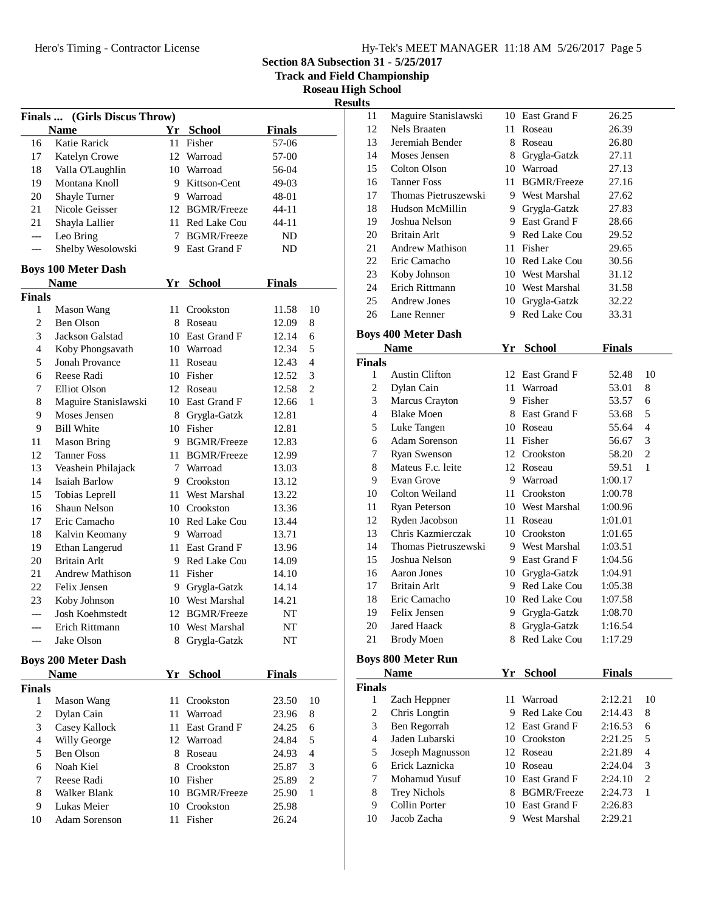**Section 8A Subsection 31 - 5/25/2017**

**Track and Field Championship**

**Roseau High School Results**

|                  | Ŀ<br>(Girls Discus Throw)<br>Finals       |    |                    |               |    |  |  |  |
|------------------|-------------------------------------------|----|--------------------|---------------|----|--|--|--|
|                  | <b>Name</b>                               |    | Yr School          | <b>Finals</b> |    |  |  |  |
| 16               | Katie Rarick                              | 11 | Fisher             | 57-06         |    |  |  |  |
| 17               | Katelyn Crowe                             |    | 12 Warroad         | 57-00         |    |  |  |  |
| 18               | Valla O'Laughlin                          |    | 10 Warroad         | 56-04         |    |  |  |  |
| 19               | Montana Knoll                             |    | 9 Kittson-Cent     | 49-03         |    |  |  |  |
| 20               | Shayle Turner                             |    | 9 Warroad          | 48-01         |    |  |  |  |
| 21               | Nicole Geisser                            |    | 12 BGMR/Freeze     | 44-11         |    |  |  |  |
| 21               | Shayla Lallier                            |    | 11 Red Lake Cou    | 44-11         |    |  |  |  |
| $---$            |                                           | 7  | <b>BGMR/Freeze</b> | <b>ND</b>     |    |  |  |  |
|                  | Leo Bring                                 |    | 9 East Grand F     | ND            |    |  |  |  |
| ---              | Shelby Wesolowski                         |    |                    |               |    |  |  |  |
|                  | <b>Boys 100 Meter Dash</b>                |    |                    |               |    |  |  |  |
|                  | <b>Name</b>                               |    | Yr School          | <b>Finals</b> |    |  |  |  |
| <b>Finals</b>    |                                           |    |                    |               |    |  |  |  |
| 1                | Mason Wang                                |    | 11 Crookston       | 11.58         | 10 |  |  |  |
| $\overline{c}$   | Ben Olson                                 |    | 8 Roseau           | 12.09         | 8  |  |  |  |
| 3                | Jackson Galstad                           |    | 10 East Grand F    | 12.14         | 6  |  |  |  |
| 4                | Koby Phongsavath                          |    | 10 Warroad         | 12.34         | 5  |  |  |  |
| 5                | Jonah Provance                            |    | 11 Roseau          | 12.43         | 4  |  |  |  |
| 6                | Reese Radi                                |    | 10 Fisher          | 12.52         | 3  |  |  |  |
| 7                | Elliot Olson                              |    | 12 Roseau          | 12.58         | 2  |  |  |  |
| 8                | Maguire Stanislawski                      |    | 10 East Grand F    | 12.66         | 1  |  |  |  |
| 9                | Moses Jensen                              |    | 8 Grygla-Gatzk     | 12.81         |    |  |  |  |
| 9                | <b>Bill White</b>                         |    | 10 Fisher          | 12.81         |    |  |  |  |
| 11               | <b>Mason Bring</b>                        |    | 9 BGMR/Freeze      | 12.83         |    |  |  |  |
| 12               | <b>Tanner Foss</b>                        |    | 11 BGMR/Freeze     | 12.99         |    |  |  |  |
| 13               | Veashein Philajack                        | 7  | Warroad            | 13.03         |    |  |  |  |
| 14               | Isaiah Barlow                             |    | 9 Crookston        | 13.12         |    |  |  |  |
| 15               | Tobias Leprell                            |    | 11 West Marshal    | 13.22         |    |  |  |  |
| 16               | Shaun Nelson                              |    | 10 Crookston       | 13.36         |    |  |  |  |
| 17               | Eric Camacho                              |    | 10 Red Lake Cou    | 13.44         |    |  |  |  |
| 18               | Kalvin Keomany                            |    | 9 Warroad          | 13.71         |    |  |  |  |
| 19               | Ethan Langerud                            |    | 11 East Grand F    | 13.96         |    |  |  |  |
| 20               | Britain Arlt                              |    | 9 Red Lake Cou     | 14.09         |    |  |  |  |
| 21               | <b>Andrew Mathison</b>                    |    | 11 Fisher          | 14.10         |    |  |  |  |
| 22               | Felix Jensen                              |    | 9 Grygla-Gatzk     | 14.14         |    |  |  |  |
| 23               | Koby Johnson                              |    | 10 West Marshal    | 14.21         |    |  |  |  |
| ---              | Josh Koehmstedt                           | 12 | <b>BGMR/Freeze</b> | NT            |    |  |  |  |
|                  | Erich Rittmann                            |    | 10 West Marshal    | NT            |    |  |  |  |
|                  | Jake Olson                                | 8  | Grygla-Gatzk       | NT            |    |  |  |  |
|                  |                                           |    |                    |               |    |  |  |  |
|                  | <b>Boys 200 Meter Dash</b><br><b>Name</b> |    | Yr School          | <b>Finals</b> |    |  |  |  |
| <b>Finals</b>    |                                           |    |                    |               |    |  |  |  |
| 1                | Mason Wang                                |    | 11 Crookston       | 23.50         | 10 |  |  |  |
| $\boldsymbol{2}$ | Dylan Cain                                |    | 11 Warroad         | 23.96         | 8  |  |  |  |
| 3                | Casey Kallock                             |    | 11 East Grand F    | 24.25         | 6  |  |  |  |
| 4                | Willy George                              |    | 12 Warroad         | 24.84         | 5  |  |  |  |
| 5                | Ben Olson                                 |    |                    |               |    |  |  |  |
|                  |                                           |    | 8 Roseau           | 24.93         | 4  |  |  |  |
| 6                | Noah Kiel                                 |    | 8 Crookston        | 25.87         | 3  |  |  |  |
| 7                | Reese Radi                                |    | 10 Fisher          | 25.89         | 2  |  |  |  |
| 8                | Walker Blank                              |    | 10 BGMR/Freeze     | 25.90         | 1  |  |  |  |
| 9                | Lukas Meier                               |    | 10 Crookston       | 25.98         |    |  |  |  |
| 10               | <b>Adam Sorenson</b>                      | 11 | Fisher             | 26.24         |    |  |  |  |
|                  |                                           |    |                    |               |    |  |  |  |

| 11                 | Maguire Stanislawski         | 10   | East Grand F       | 26.25          |              |
|--------------------|------------------------------|------|--------------------|----------------|--------------|
| 12                 | Nels Braaten                 | 11.  | Roseau             | 26.39          |              |
| 13                 | Jeremiah Bender              | 8    | Roseau             | 26.80          |              |
| 14                 | Moses Jensen                 |      | 8 Grygla-Gatzk     | 27.11          |              |
| 15                 | Colton Olson                 |      | 10 Warroad         | 27.13          |              |
| 16                 | <b>Tanner Foss</b>           | 11.  | <b>BGMR/Freeze</b> | 27.16          |              |
| 17                 | Thomas Pietruszewski         |      | 9 West Marshal     | 27.62          |              |
| 18                 | Hudson McMillin              |      | 9 Grygla-Gatzk     | 27.83          |              |
| 19                 | Joshua Nelson                |      | 9 East Grand F     | 28.66          |              |
| 20                 | <b>Britain Arlt</b>          |      | 9 Red Lake Cou     | 29.52          |              |
| 21                 | <b>Andrew Mathison</b>       |      | 11 Fisher          | 29.65          |              |
| 22                 | Eric Camacho                 |      | 10 Red Lake Cou    | 30.56          |              |
| 23                 | Koby Johnson                 |      | 10 West Marshal    | 31.12          |              |
| 24                 | Erich Rittmann               |      | 10 West Marshal    | 31.58          |              |
| 25                 | Andrew Jones                 |      | 10 Grygla-Gatzk    | 32.22          |              |
| 26                 | Lane Renner                  |      | 9 Red Lake Cou     | 33.31          |              |
|                    |                              |      |                    |                |              |
|                    | <b>Boys 400 Meter Dash</b>   |      |                    |                |              |
|                    | <b>Name</b>                  | Yr   | <b>School</b>      | <b>Finals</b>  |              |
| <b>Finals</b><br>1 | <b>Austin Clifton</b>        |      | 12 East Grand F    |                | 10           |
| $\overline{c}$     |                              |      | 11 Warroad         | 52.48          |              |
| 3                  | Dylan Cain<br>Marcus Crayton |      | 9 Fisher           | 53.01<br>53.57 | 8<br>6       |
| $\overline{4}$     | <b>Blake Moen</b>            |      | 8 East Grand F     | 53.68          | 5            |
| 5                  | Luke Tangen                  |      | 10 Roseau          | 55.64          | 4            |
| 6                  | Adam Sorenson                |      | 11 Fisher          | 56.67          | 3            |
| 7                  | <b>Ryan Swenson</b>          |      | 12 Crookston       | 58.20          | $\mathbf{2}$ |
| 8                  | Mateus F.c. leite            |      | 12 Roseau          | 59.51          | 1            |
| 9                  | Evan Grove                   |      | 9 Warroad          | 1:00.17        |              |
| 10                 | Colton Weiland               |      | 11 Crookston       | 1:00.78        |              |
| 11                 | Ryan Peterson                |      | 10 West Marshal    | 1:00.96        |              |
| 12                 | Ryden Jacobson               | 11 - | Roseau             | 1:01.01        |              |
| 13                 | Chris Kazmierczak            |      | 10 Crookston       | 1:01.65        |              |
| 14                 | Thomas Pietruszewski         |      | 9 West Marshal     | 1:03.51        |              |
| 15                 | Joshua Nelson                |      | 9 East Grand F     | 1:04.56        |              |
| 16                 | <b>Aaron Jones</b>           |      | 10 Grygla-Gatzk    | 1:04.91        |              |
| 17                 | Britain Arlt                 |      | 9 Red Lake Cou     | 1:05.38        |              |
| 18                 | Eric Camacho                 |      | 10 Red Lake Cou    | 1:07.58        |              |
| 19                 | Felix Jensen                 | 9.   | Grygla-Gatzk       | 1:08.70        |              |
| 20                 | <b>Jared Haack</b>           | 8    | Grygla-Gatzk       | 1:16.54        |              |
| 21                 | <b>Brody Moen</b>            | 8    | Red Lake Cou       | 1:17.29        |              |
|                    |                              |      |                    |                |              |

## **Boys 800 Meter Run**

| <b>Name</b>   |                     | Yr | <b>School</b>      | <b>Finals</b> |                               |
|---------------|---------------------|----|--------------------|---------------|-------------------------------|
| <b>Finals</b> |                     |    |                    |               |                               |
| 1             | Zach Heppner        |    | 11 Warroad         | 2:12.21       | 10                            |
| 2             | Chris Longtin       | 9. | Red Lake Cou       | 2:14.43       | 8                             |
| 3             | Ben Regorrah        |    | 12 East Grand F    | 2:16.53       | 6                             |
| 4             | Jaden Lubarski      |    | 10 Crookston       | 2:21.25       | 5                             |
| 5             | Joseph Magnusson    |    | 12 Roseau          | 2:21.89       | 4                             |
| 6             | Erick Laznicka      |    | 10 Roseau          | 2:24.04       | 3                             |
| 7             | Mohamud Yusuf       |    | 10 East Grand F    | 2:24.10       | $\mathfrak{D}_{\mathfrak{p}}$ |
| 8             | <b>Trey Nichols</b> | 8  | <b>BGMR/Freeze</b> | 2:24.73       | 1                             |
| 9             | Collin Porter       |    | 10 East Grand F    | 2:26.83       |                               |
| 10            | Jacob Zacha         |    | West Marshal       | 2:29.21       |                               |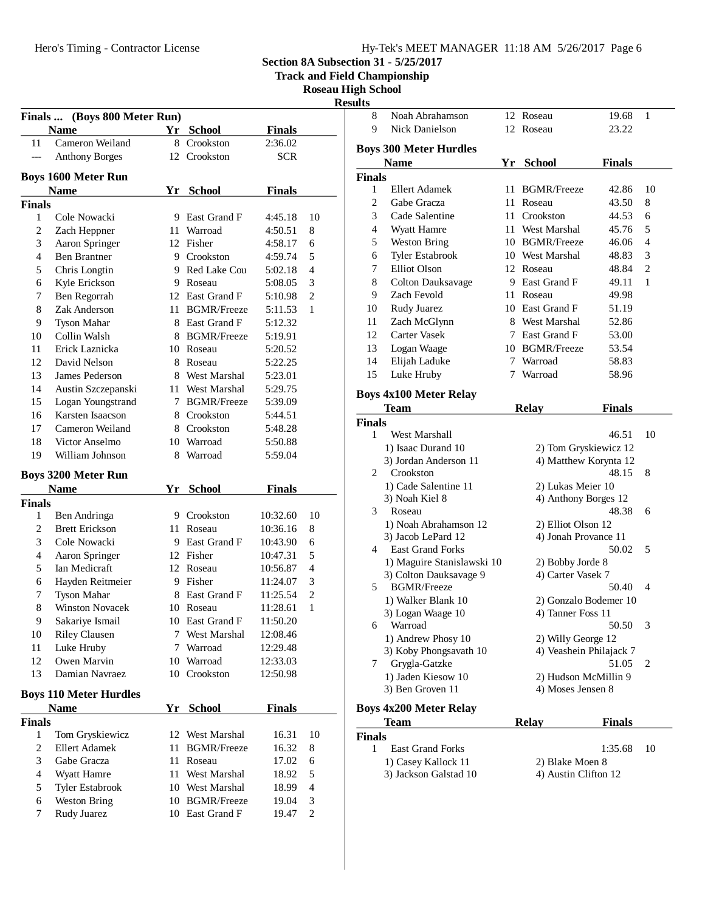**Section 8A Subsection 31 - 5/25/2017**

**Track and Field Championship**

**Roseau High School**

**Results**

|                          |                                    |    |                                   |                | Κt                       |
|--------------------------|------------------------------------|----|-----------------------------------|----------------|--------------------------|
|                          | Finals  (Boys 800 Meter Run)       |    |                                   |                |                          |
|                          | <b>Name</b>                        | Yr | <b>School</b>                     | <b>Finals</b>  |                          |
| 11                       | Cameron Weiland                    |    | 8 Crookston                       | 2:36.02        |                          |
| ---                      | <b>Anthony Borges</b>              |    | 12 Crookston                      | <b>SCR</b>     |                          |
|                          | <b>Boys 1600 Meter Run</b>         |    |                                   |                |                          |
|                          | <b>Name</b>                        |    | Yr School                         | <b>Finals</b>  |                          |
| Finals                   |                                    |    |                                   |                |                          |
| 1                        | Cole Nowacki                       |    | 9 East Grand F                    | 4:45.18        | 10                       |
| $\mathfrak{2}$           | Zach Heppner                       |    | 11 Warroad                        | 4:50.51        | 8                        |
| $\mathfrak{Z}$           | Aaron Springer                     |    | 12 Fisher                         | 4:58.17        | 6                        |
| $\overline{4}$           | <b>Ben Brantner</b>                |    | 9 Crookston                       | 4:59.74        | 5                        |
| 5                        | Chris Longtin                      |    | 9 Red Lake Cou                    | 5:02.18        | $\overline{4}$           |
| 6                        | Kyle Erickson                      |    | 9 Roseau                          | 5:08.05        | 3                        |
| 7                        | Ben Regorrah                       |    | 12 East Grand F                   | 5:10.98        | $\overline{2}$           |
| 8                        | Zak Anderson                       |    | 11 BGMR/Freeze                    | 5:11.53        | $\mathbf{1}$             |
| 9                        | Tyson Mahar                        |    | 8 East Grand F                    | 5:12.32        |                          |
| 10                       | Collin Walsh                       |    | 8 BGMR/Freeze                     | 5:19.91        |                          |
| 11                       | Erick Laznicka                     |    | 10 Roseau                         | 5:20.52        |                          |
| 12                       | David Nelson                       |    | 8 Roseau                          | 5:22.25        |                          |
| 13                       | James Pederson                     |    | 8 West Marshal                    | 5:23.01        |                          |
| 14                       | Austin Szczepanski                 | 11 | West Marshal                      | 5:29.75        |                          |
| 15                       | Logan Youngstrand                  | 7  | <b>BGMR/Freeze</b>                | 5:39.09        |                          |
| 16                       | Karsten Isaacson                   |    | 8 Crookston                       | 5:44.51        |                          |
| 17                       | Cameron Weiland                    |    | 8 Crookston                       | 5:48.28        |                          |
| 18                       | Victor Anselmo                     |    | 10 Warroad                        | 5:50.88        |                          |
| 19                       | William Johnson                    | 8  | Warroad                           | 5:59.04        |                          |
|                          | <b>Boys 3200 Meter Run</b>         |    |                                   |                |                          |
|                          | <b>Name</b>                        | Yr | <b>School</b>                     | <b>Finals</b>  |                          |
| Finals                   |                                    |    |                                   |                |                          |
| 1                        | Ben Andringa                       |    | 9 Crookston                       | 10:32.60       | 10                       |
| $\overline{c}$           | <b>Brett Erickson</b>              |    | 11 Roseau                         | 10:36.16       | 8                        |
| 3                        | Cole Nowacki                       |    | 9 East Grand F                    | 10:43.90       | 6                        |
| $\overline{4}$           | Aaron Springer                     |    | 12 Fisher                         | 10:47.31       | 5                        |
| 5                        | Ian Medicraft                      |    | 12 Roseau                         | 10:56.87       | $\overline{4}$           |
| 6                        | Hayden Reitmeier                   |    | 9 Fisher                          | 11:24.07       | 3                        |
| 7                        | <b>Tyson Mahar</b>                 | 8  | East Grand F                      | 11:25.54       | $\overline{c}$           |
| 8                        | <b>Winston Novacek</b>             |    | 10 Roseau                         | 11:28.61       | 1                        |
| 9                        | Sakariye Ismail                    | 10 | East Grand F                      | 11:50.20       |                          |
| 10                       | <b>Riley Clausen</b>               | 7  | West Marshal                      | 12:08.46       |                          |
|                          |                                    |    |                                   |                |                          |
| 11                       | Luke Hruby                         | 7  | Warroad                           | 12:29.48       |                          |
| 12                       | Owen Marvin                        |    | 10 Warroad                        | 12:33.03       |                          |
| 13                       | Damian Navraez                     |    | 10 Crookston                      | 12:50.98       |                          |
|                          | <b>Boys 110 Meter Hurdles</b>      |    |                                   |                |                          |
|                          | <b>Name</b>                        | Yr | <b>School</b>                     | <b>Finals</b>  |                          |
|                          |                                    |    |                                   |                |                          |
| 1                        | Tom Gryskiewicz                    | 12 | West Marshal                      | 16.31          | 10                       |
| $\mathfrak{2}$           | <b>Ellert Adamek</b>               | 11 | <b>BGMR/Freeze</b>                | 16.32          | 8                        |
| <b>Finals</b><br>3       | Gabe Gracza                        | 11 | Roseau                            | 17.02          | 6                        |
| $\overline{\mathcal{L}}$ | Wyatt Hamre                        | 11 | West Marshal                      | 18.92          | 5                        |
| 5                        | Tyler Estabrook                    |    | 10 West Marshal                   | 18.99          | $\overline{\mathcal{L}}$ |
| 6<br>7                   | <b>Weston Bring</b><br>Rudy Juarez |    | 10 BGMR/Freeze<br>10 East Grand F | 19.04<br>19.47 | 3<br>2                   |

| uıts           |                                         |    |                         |               |                |
|----------------|-----------------------------------------|----|-------------------------|---------------|----------------|
| 8              | Noah Abrahamson                         |    | 12 Roseau               | 19.68         | 1              |
| 9              | Nick Danielson                          |    | 12 Roseau               | 23.22         |                |
|                | <b>Boys 300 Meter Hurdles</b>           |    |                         |               |                |
|                | <b>Name</b>                             |    | Yr School               | <b>Finals</b> |                |
| <b>Finals</b>  |                                         |    |                         |               |                |
| 1              | <b>Ellert Adamek</b>                    | 11 | <b>BGMR/Freeze</b>      | 42.86         | 10             |
| 2              | Gabe Gracza                             | 11 | Roseau                  | 43.50         | 8              |
| 3              | Cade Salentine                          |    | 11 Crookston            | 44.53         | 6              |
| $\overline{4}$ | Wyatt Hamre                             |    | 11 West Marshal         | 45.76         | 5              |
| 5              | <b>Weston Bring</b>                     |    | 10 BGMR/Freeze          | 46.06         | 4              |
| 6              | <b>Tyler Estabrook</b>                  |    | 10 West Marshal         | 48.83         | 3              |
| 7              | Elliot Olson                            |    | 12 Roseau               | 48.84         | $\overline{c}$ |
| 8              |                                         |    | 9 East Grand F          |               | 1              |
| 9              | <b>Colton Dauksavage</b><br>Zach Fevold |    |                         | 49.11         |                |
|                |                                         |    | 11 Roseau               | 49.98         |                |
| 10             | Rudy Juarez                             |    | 10 East Grand F         | 51.19         |                |
| 11             | Zach McGlynn                            |    | 8 West Marshal          | 52.86         |                |
| 12             | <b>Carter Vasek</b>                     |    | 7 East Grand F          | 53.00         |                |
| 13             | Logan Waage                             |    | 10 BGMR/Freeze          | 53.54         |                |
| 14             | Elijah Laduke                           |    | 7 Warroad               | 58.83         |                |
| 15             | Luke Hruby                              |    | 7 Warroad               | 58.96         |                |
|                | <b>Boys 4x100 Meter Relay</b>           |    |                         |               |                |
|                | Team                                    |    | <b>Relay</b>            | <b>Finals</b> |                |
| <b>Finals</b>  |                                         |    |                         |               |                |
| 1              | West Marshall                           |    |                         | 46.51         | 10             |
|                | 1) Isaac Durand 10                      |    | 2) Tom Gryskiewicz 12   |               |                |
|                | 3) Jordan Anderson 11                   |    | 4) Matthew Korynta 12   |               |                |
| 2              | Crookston                               |    |                         | 48.15         | 8              |
|                | 1) Cade Salentine 11                    |    | 2) Lukas Meier 10       |               |                |
|                | 3) Noah Kiel 8                          |    | 4) Anthony Borges 12    |               |                |
| 3              | Roseau                                  |    |                         | 48.38         | 6              |
|                | 1) Noah Abrahamson 12                   |    | 2) Elliot Olson 12      |               |                |
|                | 3) Jacob LePard 12                      |    | 4) Jonah Provance 11    |               |                |
| 4              | <b>East Grand Forks</b>                 |    |                         | 50.02         | 5              |
|                | 1) Maguire Stanislawski 10              |    | 2) Bobby Jorde 8        |               |                |
|                | 3) Colton Dauksavage 9                  |    | 4) Carter Vasek 7       |               |                |
| 5              | <b>BGMR/Freeze</b>                      |    |                         | 50.40         | 4              |
|                | 1) Walker Blank 10                      |    | 2) Gonzalo Bodemer 10   |               |                |
|                | 3) Logan Waage 10                       |    | 4) Tanner Foss 11       |               |                |
| 6              | Warroad                                 |    |                         | 50.50         | 3              |
|                | 1) Andrew Phosy 10                      |    | 2) Willy George 12      |               |                |
|                | 3) Koby Phongsavath 10                  |    | 4) Veashein Philajack 7 |               |                |
| 7              | Grygla-Gatzke                           |    |                         | 51.05         | 2              |
|                | 1) Jaden Kiesow 10                      |    | 2) Hudson McMillin 9    |               |                |
|                | 3) Ben Groven 11                        |    | 4) Moses Jensen 8       |               |                |
|                | <b>Boys 4x200 Meter Relay</b>           |    |                         |               |                |
|                | Team                                    |    | <b>Relay</b>            | <b>Finals</b> |                |
| <b>Finals</b>  |                                         |    |                         |               |                |

| наіз         |                         |                      |    |
|--------------|-------------------------|----------------------|----|
| $\mathbf{1}$ | <b>East Grand Forks</b> | 1:35.68              | 10 |
|              | 1) Casey Kallock 11     | 2) Blake Moen 8      |    |
|              | 3) Jackson Galstad 10   | 4) Austin Clifton 12 |    |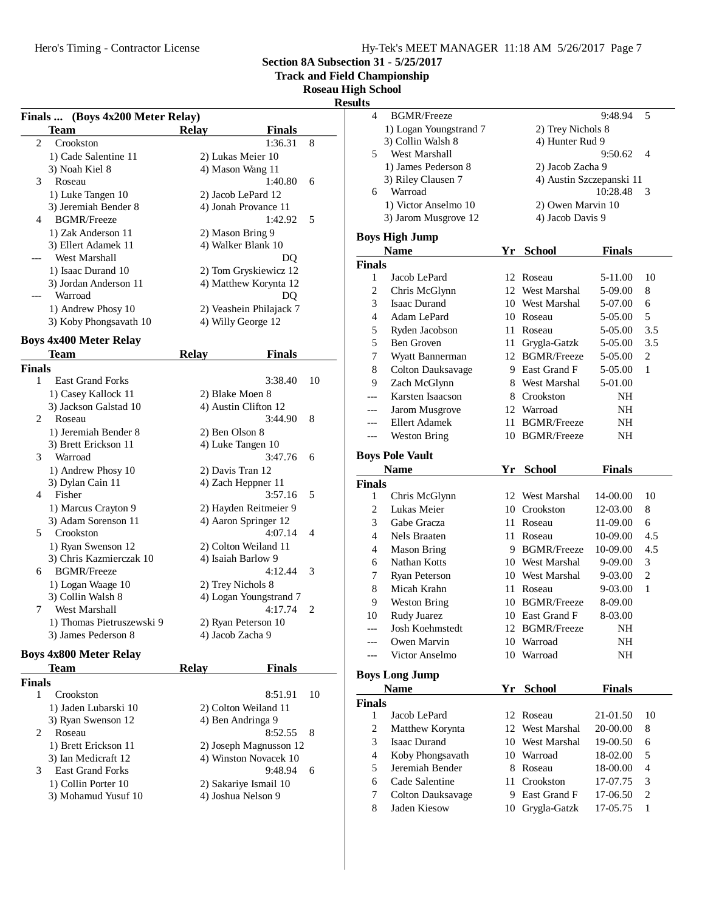**Section 8A Subsection 31 - 5/25/2017**

**Track and Field Championship**

**Roseau High School**

**Resul** 

|                          | Finals  (Boys 4x200 Meter Relay) |                               |    |
|--------------------------|----------------------------------|-------------------------------|----|
|                          | Team                             | <b>Relay</b><br><b>Finals</b> |    |
| $\overline{c}$           | Crookston                        | 1:36.31                       | 8  |
|                          | 1) Cade Salentine 11             | 2) Lukas Meier 10             |    |
|                          | 3) Noah Kiel 8                   | 4) Mason Wang 11              |    |
| 3                        | Roseau                           | 1:40.80                       | 6  |
|                          | 1) Luke Tangen 10                | 2) Jacob LePard 12            |    |
|                          | 3) Jeremiah Bender 8             | 4) Jonah Provance 11          |    |
| $\overline{\mathcal{A}}$ | <b>BGMR/Freeze</b>               | 1:42.92                       | 5  |
|                          | 1) Zak Anderson 11               | 2) Mason Bring 9              |    |
|                          | 3) Ellert Adamek 11              | 4) Walker Blank 10            |    |
|                          | West Marshall                    |                               | DQ |
|                          | 1) Isaac Durand 10               | 2) Tom Gryskiewicz 12         |    |
|                          | 3) Jordan Anderson 11            | 4) Matthew Korynta 12         |    |
|                          | Warroad                          |                               | DQ |
|                          | 1) Andrew Phosy 10               | 2) Veashein Philajack 7       |    |
|                          | 3) Koby Phongsavath 10           | 4) Willy George 12            |    |
|                          | <b>Boys 4x400 Meter Relay</b>    |                               |    |
|                          | Team                             | <b>Relay</b><br><b>Finals</b> |    |
| Finals                   |                                  |                               |    |
| 1                        | <b>East Grand Forks</b>          | 3:38.40                       | 10 |
|                          | 1) Casey Kallock 11              | 2) Blake Moen 8               |    |
|                          | 3) Jackson Galstad 10            | 4) Austin Clifton 12          |    |
| 2                        | Roseau                           | 3:44.90                       | 8  |
|                          | 1) Jeremiah Bender 8             | 2) Ben Olson 8                |    |
|                          | 3) Brett Erickson 11             | 4) Luke Tangen 10             |    |
| 3                        | Warroad                          | 3:47.76                       | 6  |
|                          | 1) Andrew Phosy 10               | 2) Davis Tran 12              |    |
|                          | 3) Dylan Cain 11                 | 4) Zach Heppner 11            |    |
| $\overline{\mathcal{L}}$ | Fisher                           | 3:57.16                       | 5  |
|                          | 1) Marcus Crayton 9              | 2) Hayden Reitmeier 9         |    |
|                          | 3) Adam Sorenson 11              | 4) Aaron Springer 12          |    |
| 5                        | Crookston                        | 4:07.14                       | 4  |
|                          | 1) Ryan Swenson 12               | 2) Colton Weiland 11          |    |
|                          | 3) Chris Kazmierczak 10          | 4) Isaiah Barlow 9            |    |
| 6                        | <b>BGMR/Freeze</b>               | 4:12.44                       | 3  |
|                          | 1) Logan Waage 10                | 2) Trey Nichols 8             |    |
|                          | 3) Collin Walsh 8                | 4) Logan Youngstrand 7        |    |
| 7                        | West Marshall                    | 4:17.74                       | 2  |
|                          | 1) Thomas Pietruszewski 9        | 2) Ryan Peterson 10           |    |
|                          | 3) James Pederson 8              | 4) Jacob Zacha 9              |    |

## **Boys 4x800 Meter Relay**

| Team                         | Relav | Finals                 |    |
|------------------------------|-------|------------------------|----|
| <b>Finals</b>                |       |                        |    |
| Crookston                    |       | 8:51.91                | 10 |
| 1) Jaden Lubarski 10         |       | 2) Colton Weiland 11   |    |
| 3) Ryan Swenson 12           |       | 4) Ben Andringa 9      |    |
| 2<br>Roseau                  |       | 8:52.55<br>- 8         |    |
| 1) Brett Erickson 11         |       | 2) Joseph Magnusson 12 |    |
| 3) Ian Medicraft 12          |       | 4) Winston Novacek 10  |    |
| <b>East Grand Forks</b><br>3 |       | 9:48.94<br>6           |    |
| 1) Collin Porter 10          |       | 2) Sakariye Ismail 10  |    |
| 3) Mohamud Yusuf 10          |       | 4) Joshua Nelson 9     |    |
|                              |       |                        |    |

| sults              |                                      |                   |                              |               |                |  |
|--------------------|--------------------------------------|-------------------|------------------------------|---------------|----------------|--|
| 4                  | <b>BGMR/Freeze</b>                   |                   |                              | 9:48.94       | 5              |  |
|                    | 1) Logan Youngstrand 7               | 2) Trey Nichols 8 |                              |               |                |  |
|                    | 3) Collin Walsh 8                    | 4) Hunter Rud 9   |                              |               |                |  |
| 5                  | West Marshall                        |                   |                              | 9:50.62       | 4              |  |
|                    | 1) James Pederson 8                  |                   | 2) Jacob Zacha 9             |               |                |  |
|                    | 3) Riley Clausen 7                   |                   | 4) Austin Szczepanski 11     |               |                |  |
| 6                  | Warroad                              |                   |                              | 10:28.48      | 3              |  |
|                    | 1) Victor Anselmo 10                 |                   | 2) Owen Marvin 10            |               |                |  |
|                    | 3) Jarom Musgrove 12                 |                   | 4) Jacob Davis 9             |               |                |  |
|                    | <b>Boys High Jump</b>                |                   |                              |               |                |  |
|                    | <b>Name</b>                          | Yr                | <b>School</b>                | <b>Finals</b> |                |  |
| <b>Finals</b>      |                                      |                   |                              |               |                |  |
| 1                  | Jacob LePard                         |                   | 12 Roseau                    | 5-11.00       | 10             |  |
| 2                  | Chris McGlynn                        |                   | 12 West Marshal              | 5-09.00       | 8              |  |
| 3                  | <b>Isaac Durand</b>                  |                   | 10 West Marshal              | 5-07.00       | 6              |  |
| $\overline{4}$     | Adam LePard                          |                   | 10 Roseau                    | 5-05.00       | 5              |  |
| 5                  | Ryden Jacobson                       | 11 -              | Roseau                       | 5-05.00       | 3.5            |  |
| 5                  | Ben Groven                           | 11                | Grygla-Gatzk                 | 5-05.00       | 3.5            |  |
| 7                  | Wyatt Bannerman                      |                   | 12 BGMR/Freeze               | 5-05.00       | 2              |  |
| 8                  | <b>Colton Dauksavage</b>             |                   | 9 East Grand F               | 5-05.00       | 1              |  |
| 9                  | Zach McGlynn                         | 8                 | West Marshal                 | 5-01.00       |                |  |
| $---$              | Karsten Isaacson                     |                   | 8 Crookston                  | NH            |                |  |
| ---                | Jarom Musgrove                       |                   | 12 Warroad                   | NH            |                |  |
|                    | <b>Ellert Adamek</b>                 |                   | 11 BGMR/Freeze               | NΗ            |                |  |
| ---                | <b>Weston Bring</b>                  |                   | 10 BGMR/Freeze               | NH            |                |  |
|                    |                                      |                   |                              |               |                |  |
|                    |                                      |                   |                              |               |                |  |
|                    | <b>Boys Pole Vault</b>               |                   |                              |               |                |  |
|                    | <b>Name</b>                          | Yr                | <b>School</b>                | <b>Finals</b> |                |  |
| <b>Finals</b><br>1 |                                      |                   | 12 West Marshal              | 14-00.00      | 10             |  |
| 2                  | Chris McGlynn<br>Lukas Meier         |                   | 10 Crookston                 | 12-03.00      | 8              |  |
| 3                  | Gabe Gracza                          | 11.               | Roseau                       | 11-09.00      | 6              |  |
| 4                  | Nels Braaten                         | 11-               | Roseau                       | 10-09.00      | 4.5            |  |
| $\overline{4}$     | <b>Mason Bring</b>                   | 9                 | <b>BGMR/Freeze</b>           | 10-09.00      | 4.5            |  |
| 6                  | Nathan Kotts                         |                   | 10 West Marshal              | 9-09.00       | 3              |  |
| 7                  | Ryan Peterson                        |                   | 10 West Marshal              | 9-03.00       | $\overline{c}$ |  |
| 8                  | Micah Krahn                          | 11 -              | Roseau                       | 9-03.00       | 1              |  |
| 9                  | <b>Weston Bring</b>                  |                   | 10 BGMR/Freeze               | 8-09.00       |                |  |
| 10                 | Rudy Juarez                          |                   | 10 East Grand F              | 8-03.00       |                |  |
| ---                | Josh Koehmstedt                      |                   | 12 BGMR/Freeze               | NH            |                |  |
| ---                | Owen Marvin                          | 10                | Warroad                      | NΗ            |                |  |
| ---                | Victor Anselmo                       |                   | 10 Warroad                   | NH            |                |  |
|                    |                                      |                   |                              |               |                |  |
|                    | <b>Boys Long Jump</b><br><b>Name</b> | Yr                | <b>School</b>                | <b>Finals</b> |                |  |
| <b>Finals</b>      |                                      |                   |                              |               |                |  |
| 1                  | Jacob LePard                         | 12                | Roseau                       | 21-01.50      | 10             |  |
| 2                  | Matthew Korynta                      | 12                | West Marshal                 | 20-00.00      | 8              |  |
| 3                  | Isaac Durand                         |                   | 10 West Marshal              | 19-00.50      | 6              |  |
| $\overline{4}$     | Koby Phongsavath                     |                   | 10 Warroad                   | 18-02.00      | 5              |  |
| 5                  | Jeremiah Bender                      |                   | 8 Roseau                     | 18-00.00      | $\overline{4}$ |  |
| 6                  | Cade Salentine                       | 11                | Crookston                    | 17-07.75      | 3              |  |
| 7                  | <b>Colton Dauksavage</b>             | 9.                | East Grand F<br>Grygla-Gatzk | 17-06.50      | $\overline{c}$ |  |